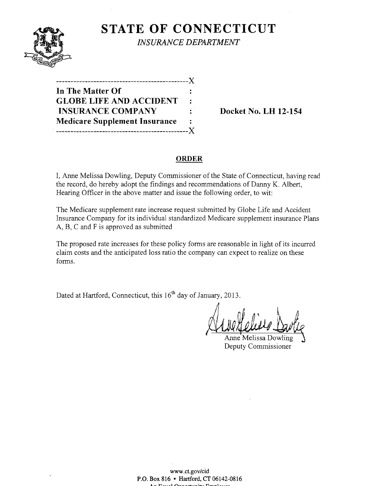

**STATE OF CONNECTICUT** 

*INSURANCE DEPARTMENT* 

| --------------                       |                |
|--------------------------------------|----------------|
| In The Matter Of                     |                |
| <b>GLOBE LIFE AND ACCIDENT</b>       | $\sim$         |
| <b>INSURANCE COMPANY</b>             | ÷.             |
| <b>Medicare Supplement Insurance</b> | $\ddot{\cdot}$ |
|                                      |                |

**Docket No. LH 12-154** 

### **ORDER**

I, Anne Melissa Dowling, Deputy Commissioner of the State of Connecticut, having read the record, do hereby adopt the findings and recommendations of Danny K. Albert, Hearing Officer in the above matter and issue the following order, to wit:

The Medicare supplement rate increase request submitted by Globe Life and Accident Insurance Company for its individual standardized Medicare supplement insurance Plans A, B, C and F is approved as submitted

The proposed rate increases for these policy forms are reasonable in light of its incurred claim costs and the anticipated loss ratio the company can expect to realize on these forms.

Dated at Hartford, Connecticut, this 16<sup>th</sup> day of January, 2013.

Anne Melissa Dowling Deputy Commissioner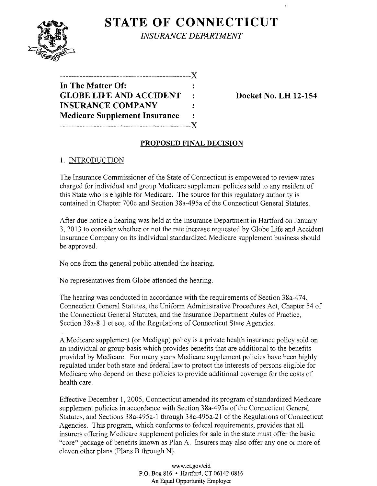

**STATE OF CONNECTICUT** *INSURANCE DEPARTMENT* 

**----------------------------------------------)( In The Matter Of: GLOBE LIFE AND ACCIDENT** : Docket No. LH 12-154 **INSURANCE COMPANY Medicare Supplement Insurance ----------------------------------------------)(** 

 $\mathbf{f}$ 

# **PROPOSED FINAL DECISION**

# 1. INTRODUCTION

The Insurance Commissioner of the State of Connecticut is empowered to review rates charged for individual and group Medicare supplement policies sold to any resident of this State who is eligible for Medicare. The source for this regulatory authority is contained in Chapter 700c and Section 38a-495a of the Connecticut General Statutes.

After due notice a hearing was held at the Insurance Department in Hartford on January 3,2013 to consider whether or not the rate increase requested by Globe Life and Accident Insurance Company on its individual standardized Medicare supplement business should be approved.

No one from the general public attended the hearing.

No representatives from Globe attended the hearing.

The hearing was conducted in accordance with the requirements of Section 38a-474, Connecticut General Statutes, the Uniform Administrative Procedures Act, Chapter 54 of the Connecticut General Statutes, and the Insurance Department Rules of Practice, Section 38a-8-1 et seq. of the Regulations of Connecticut State Agencies.

A Medicare supplement (or Medigap) policy is a private health insurance policy sold on an individual or group basis which provides benefits that are additional to the benefits provided by Medicare. For many years Medicare supplement policies have been highly regulated under both state and federal law to protect the interests of persons eligible for Medicare who depend on these policies to provide additional coverage for the costs of health care.

Effective December 1, 2005, Connecticut amended its program of standardized Medicare supplement policies in accordance with Section 38a-495a of the Connecticut General Statutes, and Sections 38a-495a-l through 38a-495a-21 of the Regulations of Connecticut Agencies. This program, which conforms to federal requirements, provides that all insurers offering Medicare supplement policies for sale in the state must offer the basic "core" package of benefits known as Plan A. Insurers may also offer anyone or more of eleven other plans (Plans B through N).

> www.ct.gov/cid P.O. Box 816 • Hartford, CT 06142-0816 An Equal Opportunity Employer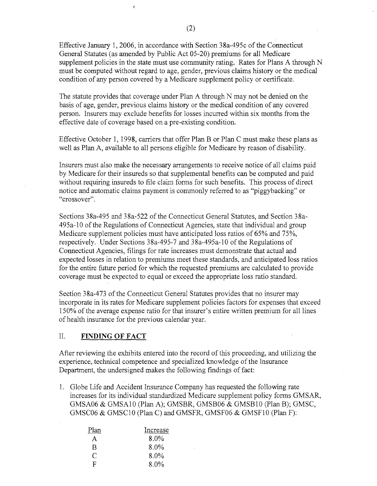Effective January 1,2006, in accordance with Section 38a-495c of the Connecticut General Statutes (as amended by Public Act 05-20) premiums for all Medicare supplement policies in the state must use community rating. Rates for Plans A through N must be computed without regard to age, gender, previous claims history or the medical condition of any person covered by a Medicare supplement policy or certificate.

The statute provides that coverage under Plan A through N may not be denied on the basis of age, gender, previous claims history or the medical condition of any covered. person. Insurers may exclude benefits for losses incurred within six months from the effective date of coverage based on a pre-existing condition.

Effective October 1, 1998, carriers that offer Plan B or Plan C must make these plans as well as Plan A, available to all persons eligible for Medicare by reason of disability.

Insurers must also make the necessary arrangements to receive notice of all claims paid by Medicare for their insureds so that supplemental benefits can be computed and paid without requiring insureds to file claim forms for such benefits. This process of direct notice and automatic claims payment is commonly referred to as "piggybacking" or "crossover".

Sections 38a-495 and 38a-522 of the Connecticut General Statutes, and Section 38a-495a-10 ofthe Regulations of Connecticut Agencies, state that individual and group Medicare supplement policies must have anticipated loss ratios of 65% and 75%, respectively. Under Sections 38a-495-7 and 38a-495a-10 of the Regulations of Connecticut Agencies, filings for rate increases must demonstrate that actual and expected losses in relation to premiums meet these standards, and anticipated loss ratios for the entire future period for which the requested premiums are calculated to provide coverage must be expected to equal or exceed the appropriate loss ratio standard.

Section 38a-473 of the Connecticut General Statutes provides that no insurer may incorporate in its rates for Medicare supplement policies factors for expenses that exceed 150% of the average expense ratio for that insurer's entire written premium for all lines of health insurance for the previous calendar year.

#### II. **FINDING OF FACT**

After reviewing the exhibits entered into the record of this proceeding, and utilizing the experience, technical competence and specialized knowledge of the Insurance Department, the undersigned makes the following findings of fact:

1. Globe Life and Accident Insurance Company has requested the following rate increases for its individual standardized Medicare supplement policy forms GMSAR, GMSA06 & GMSA10 (Plan A); GMSBR, GMSB06 & GMSB10 (Plan B); GMSC, GMSC06 & GMSC10 (Plan C) and GMSFR, GMSF06 & GMSF10 (Plan F):

| Plan | Increase |  |
|------|----------|--|
| A    | $8.0\%$  |  |
| R    | 8.0%     |  |
| C    | $8.0\%$  |  |
| н.   | $8.0\%$  |  |